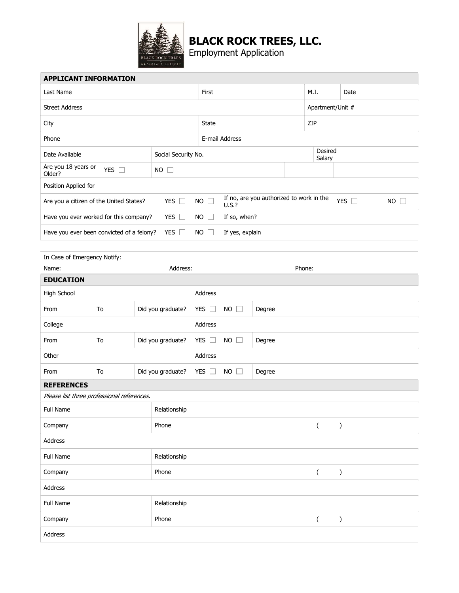

## BLACK ROCK TREES, LLC.

Employment Application

| <b>APPLICANT INFORMATION</b>                                           |                     |  |                   |              |                        |                                                           |                   |                          |                  |   |                     |  |  |  |
|------------------------------------------------------------------------|---------------------|--|-------------------|--------------|------------------------|-----------------------------------------------------------|-------------------|--------------------------|------------------|---|---------------------|--|--|--|
| Last Name                                                              |                     |  |                   |              | First                  |                                                           |                   |                          | M.I.<br>Date     |   |                     |  |  |  |
| <b>Street Address</b>                                                  |                     |  |                   |              |                        |                                                           |                   |                          | Apartment/Unit # |   |                     |  |  |  |
| City                                                                   |                     |  |                   |              | State                  |                                                           |                   |                          | ZIP              |   |                     |  |  |  |
| Phone                                                                  |                     |  |                   |              | E-mail Address         |                                                           |                   |                          |                  |   |                     |  |  |  |
| Date Available                                                         | Social Security No. |  |                   |              |                        |                                                           | Desired<br>Salary |                          |                  |   |                     |  |  |  |
| Are you 18 years or<br>Older?                                          | $NO$ $\Box$         |  |                   |              |                        |                                                           |                   |                          |                  |   |                     |  |  |  |
| Position Applied for                                                   |                     |  |                   |              |                        |                                                           |                   |                          |                  |   |                     |  |  |  |
| YES $\square$<br>Are you a citizen of the United States?               |                     |  |                   | $NO \square$ | $U.S.$ ?               | If no, are you authorized to work in the<br>YES $\square$ |                   |                          |                  |   | <b>NO</b><br>$\Box$ |  |  |  |
| Have you ever worked for this company?<br>YES $\Box$<br><b>NO</b>      |                     |  |                   |              | $\Box$<br>If so, when? |                                                           |                   |                          |                  |   |                     |  |  |  |
| YES $\Box$<br>$NO$ $\Box$<br>Have you ever been convicted of a felony? |                     |  |                   |              | If yes, explain        |                                                           |                   |                          |                  |   |                     |  |  |  |
|                                                                        |                     |  |                   |              |                        |                                                           |                   |                          |                  |   |                     |  |  |  |
| In Case of Emergency Notify:                                           |                     |  |                   |              |                        |                                                           |                   |                          |                  |   |                     |  |  |  |
| Name:                                                                  |                     |  |                   | Phone:       |                        |                                                           |                   |                          |                  |   |                     |  |  |  |
| <b>EDUCATION</b>                                                       |                     |  |                   |              |                        |                                                           |                   |                          |                  |   |                     |  |  |  |
| High School                                                            |                     |  |                   | Address      |                        |                                                           |                   |                          |                  |   |                     |  |  |  |
| From                                                                   | To                  |  | Did you graduate? | YES $\Box$   | <b>NO</b><br>П         | Degree                                                    |                   |                          |                  |   |                     |  |  |  |
| College                                                                |                     |  |                   | Address      |                        |                                                           |                   |                          |                  |   |                     |  |  |  |
| Did you graduate?<br>From<br>To                                        |                     |  |                   | YES $\Box$   | <b>NO</b><br>$\Box$    | Degree                                                    |                   |                          |                  |   |                     |  |  |  |
| Other                                                                  |                     |  |                   | Address      |                        |                                                           |                   |                          |                  |   |                     |  |  |  |
| From                                                                   | To                  |  | Did you graduate? | YES $\Box$   | NO<br>$\Box$           | Degree                                                    |                   |                          |                  |   |                     |  |  |  |
| <b>REFERENCES</b>                                                      |                     |  |                   |              |                        |                                                           |                   |                          |                  |   |                     |  |  |  |
| Please list three professional references.                             |                     |  |                   |              |                        |                                                           |                   |                          |                  |   |                     |  |  |  |
| Full Name                                                              |                     |  | Relationship      |              |                        |                                                           |                   |                          |                  |   |                     |  |  |  |
| Company                                                                |                     |  | Phone             |              |                        |                                                           |                   | $\overline{(\ }$         |                  | ) |                     |  |  |  |
| Address                                                                |                     |  |                   |              |                        |                                                           |                   |                          |                  |   |                     |  |  |  |
| Full Name<br>Relationship                                              |                     |  |                   |              |                        |                                                           |                   |                          |                  |   |                     |  |  |  |
| Company                                                                |                     |  | Phone             |              |                        |                                                           |                   | $\overline{\phantom{a}}$ |                  | ) |                     |  |  |  |
| Address                                                                |                     |  |                   |              |                        |                                                           |                   |                          |                  |   |                     |  |  |  |
| Full Name                                                              | Relationship        |  |                   |              |                        |                                                           |                   |                          |                  |   |                     |  |  |  |
| Company                                                                | Phone               |  |                   |              |                        | $\left($                                                  |                   | )                        |                  |   |                     |  |  |  |
| Address                                                                |                     |  |                   |              |                        |                                                           |                   |                          |                  |   |                     |  |  |  |